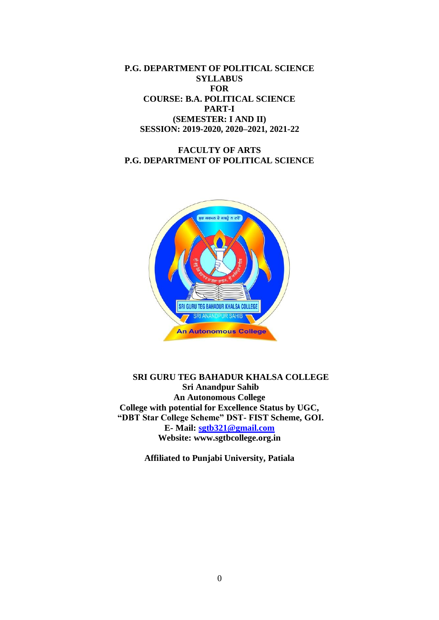**P.G. DEPARTMENT OF POLITICAL SCIENCE SYLLABUS FOR COURSE: B.A. POLITICAL SCIENCE PART-I (SEMESTER: I AND II) SESSION: 2019-2020, 2020–2021, 2021-22**

## **FACULTY OF ARTS P.G. DEPARTMENT OF POLITICAL SCIENCE**



**SRI GURU TEG BAHADUR KHALSA COLLEGE Sri Anandpur Sahib An Autonomous College College with potential for Excellence Status by UGC, "DBT Star College Scheme" DST- FIST Scheme, GOI. E- Mail: [sgtb321@gmail.com](mailto:sgtb321@gmail.com) Website: www.sgtbcollege.org.in**

**Affiliated to Punjabi University, Patiala**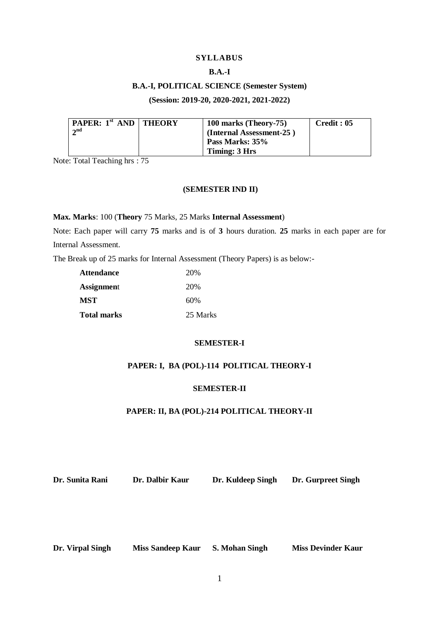## **SYLLABUS**

## **B.A.-I**

## **B.A.-I, POLITICAL SCIENCE (Semester System)**

## **(Session: 2019-20, 2020-2021, 2021-2022)**

| <b>PAPER:</b> $1^{st}$ AND   THEORY | 100 marks (Theory-75)    | Credit: 05 |
|-------------------------------------|--------------------------|------------|
| $\boldsymbol{\gamma}$ nd            | (Internal Assessment-25) |            |
|                                     | Pass Marks: 35%          |            |
|                                     | Timing: 3 Hrs            |            |

Note: Total Teaching hrs : 75

## **(SEMESTER IND II)**

#### **Max. Marks**: 100 (**Theory** 75 Marks, 25 Marks **Internal Assessment**)

Note: Each paper will carry **75** marks and is of **3** hours duration. **25** marks in each paper are for Internal Assessment.

The Break up of 25 marks for Internal Assessment (Theory Papers) is as below:-

| <b>Attendance</b>  | 20%      |
|--------------------|----------|
| <b>Assignment</b>  | 20%      |
| <b>MST</b>         | 60%      |
| <b>Total marks</b> | 25 Marks |

## **SEMESTER-I**

## **PAPER: I, BA (POL)-114 POLITICAL THEORY-I**

## **SEMESTER-II**

## **PAPER: II, BA (POL)-214 POLITICAL THEORY-II**

**Dr. Sunita Rani Dr. Dalbir Kaur Dr. Kuldeep Singh Dr. Gurpreet Singh**

**Dr. Virpal Singh Miss Sandeep Kaur S. Mohan Singh Miss Devinder Kaur**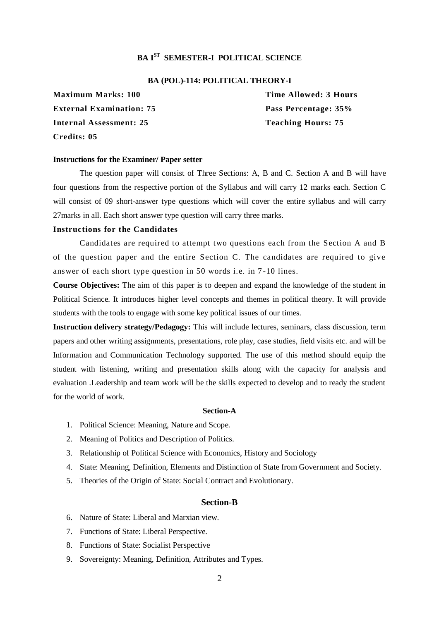# **BA IST SEMESTER-I POLITICAL SCIENCE**

#### **BA (POL)-114: POLITICAL THEORY-I**

**External Examination: 75 Pass Percentage: 35% Internal Assessment: 25 Teaching Hours: 75 Credits: 05**

**Maximum Marks: 100 Time Allowed: 3 Hours** 

#### **Instructions for the Examiner/ Paper setter**

The question paper will consist of Three Sections: A, B and C. Section A and B will have four questions from the respective portion of the Syllabus and will carry 12 marks each. Section C will consist of 09 short-answer type questions which will cover the entire syllabus and will carry 27marks in all. Each short answer type question will carry three marks.

#### **Instructions for the Candidates**

Candidates are required to attempt two questions each from the Section A and B of the question paper and the entire Section C. The candidates are required to give answer of each short type question in 50 words i.e. in 7 -10 lines.

**Course Objectives:** The aim of this paper is to deepen and expand the knowledge of the student in Political Science. It introduces higher level concepts and themes in political theory. It will provide students with the tools to engage with some key political issues of our times.

**Instruction delivery strategy/Pedagogy:** This will include lectures, seminars, class discussion, term papers and other writing assignments, presentations, role play, case studies, field visits etc. and will be Information and Communication Technology supported. The use of this method should equip the student with listening, writing and presentation skills along with the capacity for analysis and evaluation .Leadership and team work will be the skills expected to develop and to ready the student for the world of work.

#### **Section-A**

- 1. Political Science: Meaning, Nature and Scope.
- 2. Meaning of Politics and Description of Politics.
- 3. Relationship of Political Science with Economics, History and Sociology
- 4. State: Meaning, Definition, Elements and Distinction of State from Government and Society.
- 5. Theories of the Origin of State: Social Contract and Evolutionary.

#### **Section-B**

- 6. Nature of State: Liberal and Marxian view.
- 7. Functions of State: Liberal Perspective.
- 8. Functions of State: Socialist Perspective
- 9. Sovereignty: Meaning, Definition, Attributes and Types.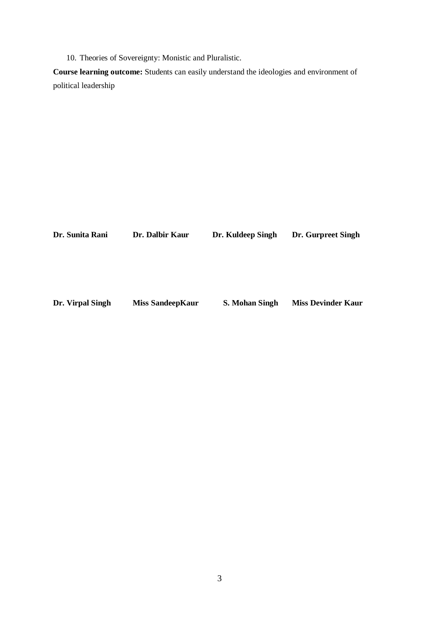10. Theories of Sovereignty: Monistic and Pluralistic.

**Course learning outcome:** Students can easily understand the ideologies and environment of political leadership

| Dr. Sunita Rani  | Dr. Dalbir Kaur         | Dr. Kuldeep Singh     | Dr. Gurpreet Singh        |
|------------------|-------------------------|-----------------------|---------------------------|
|                  |                         |                       |                           |
|                  |                         |                       |                           |
|                  |                         |                       |                           |
|                  |                         |                       |                           |
| Dr. Virpal Singh | <b>Miss SandeepKaur</b> | <b>S. Mohan Singh</b> | <b>Miss Devinder Kaur</b> |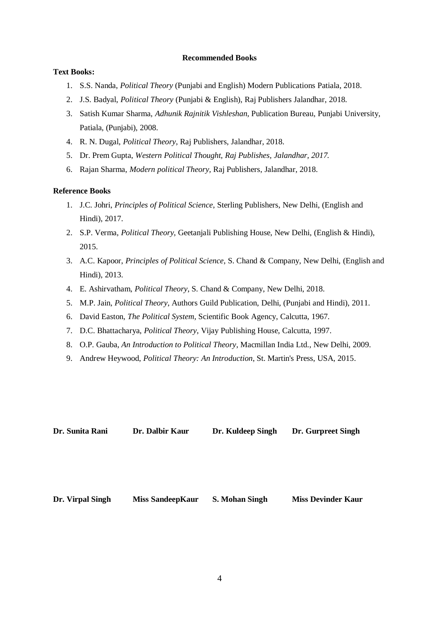## **Recommended Books**

## **Text Books:**

- 1. S.S. Nanda, *Political Theory* (Punjabi and English) Modern Publications Patiala, 2018.
- 2. J.S. Badyal, *Political Theory* (Punjabi & English), Raj Publishers Jalandhar, 2018.
- 3. Satish Kumar Sharma, *Adhunik Rajnitik Vishleshan*, Publication Bureau, Punjabi University, Patiala, (Punjabi), 2008.
- 4. R. N. Dugal, *Political Theory*, Raj Publishers, Jalandhar, 2018.
- 5. Dr. Prem Gupta, *Western Political Thought, Raj Publishes, Jalandhar, 2017.*
- 6. Rajan Sharma, *Modern political Theory,* Raj Publishers, Jalandhar, 2018.

## **Reference Books**

- 1. J.C. Johri, *Principles of Political Science*, Sterling Publishers, New Delhi, (English and Hindi), 2017.
- 2. S.P. Verma, *Political Theory*, Geetanjali Publishing House, New Delhi, (English & Hindi), 2015.
- 3. A.C. Kapoor, *Principles of Political Science*, S. Chand & Company, New Delhi, (English and Hindi), 2013.
- 4. E. Ashirvatham, *Political Theory*, S. Chand & Company, New Delhi, 2018.
- 5. M.P. Jain, *Political Theory*, Authors Guild Publication, Delhi, (Punjabi and Hindi), 2011.
- 6. David Easton, *The Political System*, Scientific Book Agency, Calcutta, 1967.
- 7. D.C. Bhattacharya, *Political Theory*, Vijay Publishing House, Calcutta, 1997.
- 8. O.P. Gauba, *An Introduction to Political Theory*, Macmillan India Ltd., New Delhi, 2009.
- 9. Andrew Heywood, *Political Theory: An Introduction*, St. Martin's Press, USA, 2015.

| Dr. Sunita Rani  | Dr. Dalbir Kaur         | Dr. Kuldeep Singh     | Dr. Gurpreet Singh        |
|------------------|-------------------------|-----------------------|---------------------------|
|                  |                         |                       |                           |
|                  |                         |                       |                           |
|                  |                         |                       |                           |
|                  |                         |                       |                           |
|                  |                         |                       |                           |
| Dr. Virpal Singh | <b>Miss SandeepKaur</b> | <b>S. Mohan Singh</b> | <b>Miss Devinder Kaur</b> |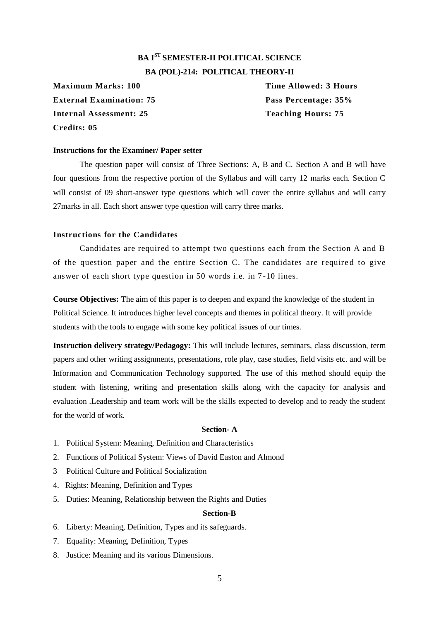# **BA IST SEMESTER-II POLITICAL SCIENCE BA (POL)-214: POLITICAL THEORY-II**

**External Examination: 75 Pass Percentage: 35% Internal Assessment: 25 Teaching Hours: 75 Credits: 05**

**Maximum Marks: 100 Time Allowed: 3 Hours** 

#### **Instructions for the Examiner/ Paper setter**

The question paper will consist of Three Sections: A, B and C. Section A and B will have four questions from the respective portion of the Syllabus and will carry 12 marks each. Section C will consist of 09 short-answer type questions which will cover the entire syllabus and will carry 27marks in all. Each short answer type question will carry three marks.

## **Instructions for the Candidates**

Candidates are required to attempt two questions each from the Section A and B of the question paper and the entire Section C. The candidates are require d to give answer of each short type question in 50 words i.e. in 7 -10 lines.

**Course Objectives:** The aim of this paper is to deepen and expand the knowledge of the student in Political Science. It introduces higher level concepts and themes in political theory. It will provide students with the tools to engage with some key political issues of our times.

**Instruction delivery strategy/Pedagogy:** This will include lectures, seminars, class discussion, term papers and other writing assignments, presentations, role play, case studies, field visits etc. and will be Information and Communication Technology supported. The use of this method should equip the student with listening, writing and presentation skills along with the capacity for analysis and evaluation .Leadership and team work will be the skills expected to develop and to ready the student for the world of work.

#### **Section- A**

- 1. Political System: Meaning, Definition and Characteristics
- 2. Functions of Political System: Views of David Easton and Almond
- 3 Political Culture and Political Socialization
- 4. Rights: Meaning, Definition and Types
- 5. Duties: Meaning, Relationship between the Rights and Duties

#### **Section-B**

- 6. Liberty: Meaning, Definition, Types and its safeguards.
- 7. Equality: Meaning, Definition, Types
- 8. Justice: Meaning and its various Dimensions.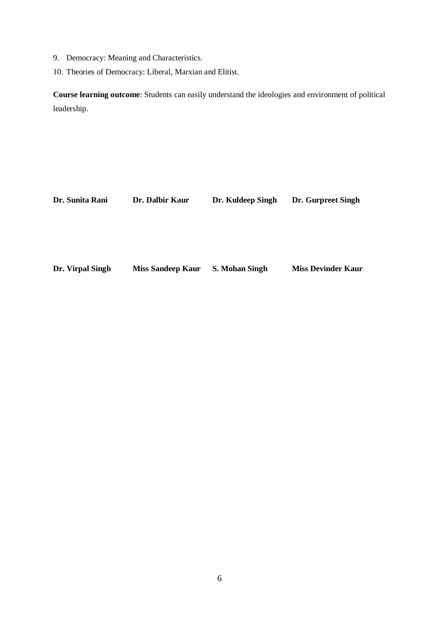- 9. Democracy: Meaning and Characteristics.
- 10. Theories of Democracy: Liberal, Marxian and Elitist.

**Course learning outcome**: Students can easily understand the ideologies and environment of political leadership.

| Dr. Sunita Rani  | Dr. Dalbir Kaur          | Dr. Kuldeep Singh     | Dr. Gurpreet Singh        |
|------------------|--------------------------|-----------------------|---------------------------|
|                  |                          |                       |                           |
|                  |                          |                       |                           |
| Dr. Virpal Singh | <b>Miss Sandeep Kaur</b> | <b>S. Mohan Singh</b> | <b>Miss Devinder Kaur</b> |